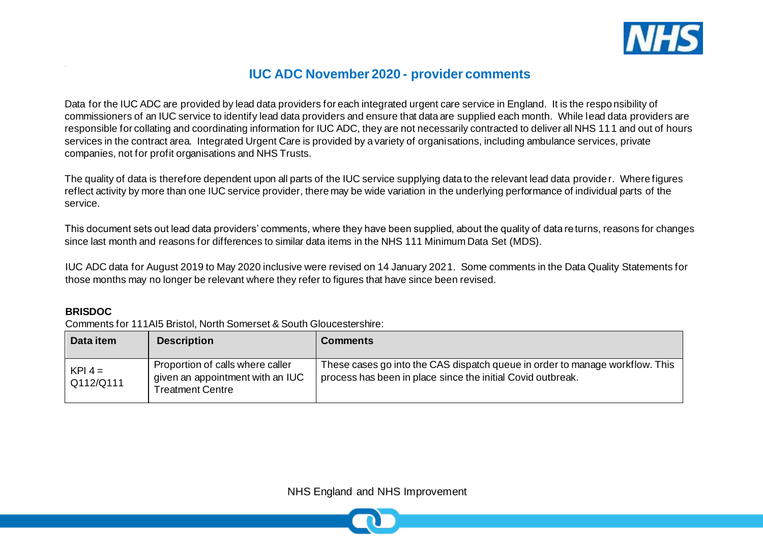

# **IUC ADC November 2020 - provider comments**

Data for the IUC ADC are provided by lead data providers for each integrated urgent care service in England. It is the responsibility of commissioners of an IUC service to identify lead data providers and ensure that data are supplied each month. While lead data providers are responsible for collating and coordinating information for IUC ADC, they are not necessarily contracted to deliver all NHS 111 and out of hours services in the contract area. Integrated Urgent Care is provided by a variety of organisations, including ambulance services, private companies, not for profit organisations and NHS Trusts.

The quality of data is therefore dependent upon all parts of the IUC service supplying data to the relevant lead data provider. Where figures reflect activity by more than one IUC service provider, there may be wide variation in the underlying performance of individual parts of the service.

This document sets out lead data providers' comments, where they have been supplied, about the quality of data returns, reasons for changes since last month and reasons for differences to similar data items in the NHS 111 Minimum Data Set (MDS).

IUC ADC data for August 2019 to May 2020 inclusive were revised on 14 January 2021. Some comments in the Data Quality Statements for those months may no longer be relevant where they refer to figures that have since been revised.

#### **BRISDOC**

Comments for 111AI5 Bristol, North Somerset & South Gloucestershire:

| Data item              | <b>Description</b>                                                                       | <b>Comments</b>                                                                                                                             |
|------------------------|------------------------------------------------------------------------------------------|---------------------------------------------------------------------------------------------------------------------------------------------|
| $KPI 4 =$<br>Q112/Q111 | Proportion of calls where caller<br>given an appointment with an IUC<br>Treatment Centre | These cases go into the CAS dispatch queue in order to manage workflow. This<br>process has been in place since the initial Covid outbreak. |

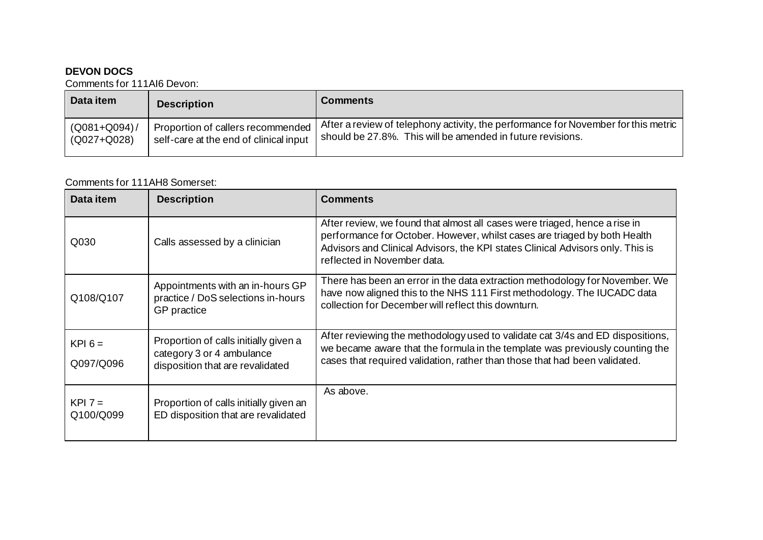## **DEVON DOCS**

Comments for 111AI6 Devon:

| Data item       | <b>Description</b>                     | <b>Comments</b>                                                                    |
|-----------------|----------------------------------------|------------------------------------------------------------------------------------|
| $(Q081 + Q094)$ | Proportion of callers recommended      | After a review of telephony activity, the performance for November for this metric |
| (Q027+Q028)     | self-care at the end of clinical input | should be 27.8%. This will be amended in future revisions.                         |

#### Comments for 111AH8 Somerset:

| Data item              | <b>Description</b>                                                                                     | <b>Comments</b>                                                                                                                                                                                                                                                          |
|------------------------|--------------------------------------------------------------------------------------------------------|--------------------------------------------------------------------------------------------------------------------------------------------------------------------------------------------------------------------------------------------------------------------------|
| Q030                   | Calls assessed by a clinician                                                                          | After review, we found that almost all cases were triaged, hence a rise in<br>performance for October. However, whilst cases are triaged by both Health<br>Advisors and Clinical Advisors, the KPI states Clinical Advisors only. This is<br>reflected in November data. |
| Q108/Q107              | Appointments with an in-hours GP<br>practice / DoS selections in-hours<br>GP practice                  | There has been an error in the data extraction methodology for November. We<br>have now aligned this to the NHS 111 First methodology. The IUCADC data<br>collection for December will reflect this downturn.                                                            |
| $KPI 6 =$<br>Q097/Q096 | Proportion of calls initially given a<br>category 3 or 4 ambulance<br>disposition that are revalidated | After reviewing the methodology used to validate cat 3/4s and ED dispositions,<br>we became aware that the formula in the template was previously counting the<br>cases that required validation, rather than those that had been validated.                             |
| $KPI 7 =$<br>Q100/Q099 | Proportion of calls initially given an<br>ED disposition that are revalidated                          | As above.                                                                                                                                                                                                                                                                |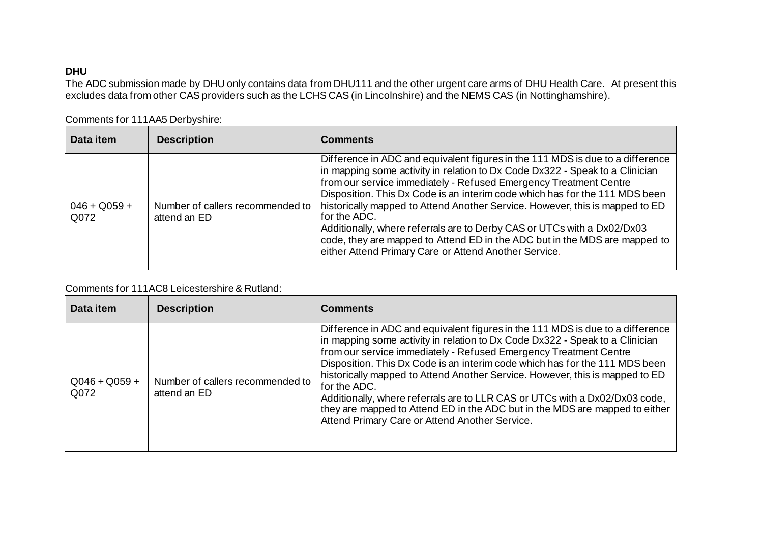## **DHU**

The ADC submission made by DHU only contains data from DHU111 and the other urgent care arms of DHU Health Care. At present this excludes data from other CAS providers such as the LCHS CAS (in Lincolnshire) and the NEMS CAS (in Nottinghamshire).

| Data item              | <b>Description</b>                               | <b>Comments</b>                                                                                                                                                                                                                                                                                                                                                                                                                                                                                                                                                                                                                      |
|------------------------|--------------------------------------------------|--------------------------------------------------------------------------------------------------------------------------------------------------------------------------------------------------------------------------------------------------------------------------------------------------------------------------------------------------------------------------------------------------------------------------------------------------------------------------------------------------------------------------------------------------------------------------------------------------------------------------------------|
| $046 + Q059 +$<br>Q072 | Number of callers recommended to<br>attend an ED | Difference in ADC and equivalent figures in the 111 MDS is due to a difference<br>in mapping some activity in relation to Dx Code Dx322 - Speak to a Clinician<br>from our service immediately - Refused Emergency Treatment Centre<br>Disposition. This Dx Code is an interim code which has for the 111 MDS been<br>historically mapped to Attend Another Service. However, this is mapped to ED<br>for the ADC.<br>Additionally, where referrals are to Derby CAS or UTCs with a Dx02/Dx03<br>code, they are mapped to Attend ED in the ADC but in the MDS are mapped to<br>either Attend Primary Care or Attend Another Service. |

Comments for 111AA5 Derbyshire:

## Comments for 111AC8 Leicestershire & Rutland:

| Data item               | <b>Description</b>                               | <b>Comments</b>                                                                                                                                                                                                                                                                                                                                                                                                                                                                                                                                                                                                                    |
|-------------------------|--------------------------------------------------|------------------------------------------------------------------------------------------------------------------------------------------------------------------------------------------------------------------------------------------------------------------------------------------------------------------------------------------------------------------------------------------------------------------------------------------------------------------------------------------------------------------------------------------------------------------------------------------------------------------------------------|
| $Q046 + Q059 +$<br>Q072 | Number of callers recommended to<br>attend an ED | Difference in ADC and equivalent figures in the 111 MDS is due to a difference<br>in mapping some activity in relation to Dx Code Dx322 - Speak to a Clinician<br>from our service immediately - Refused Emergency Treatment Centre<br>Disposition. This Dx Code is an interim code which has for the 111 MDS been<br>historically mapped to Attend Another Service. However, this is mapped to ED<br>for the ADC.<br>Additionally, where referrals are to LLR CAS or UTCs with a Dx02/Dx03 code,<br>they are mapped to Attend ED in the ADC but in the MDS are mapped to either<br>Attend Primary Care or Attend Another Service. |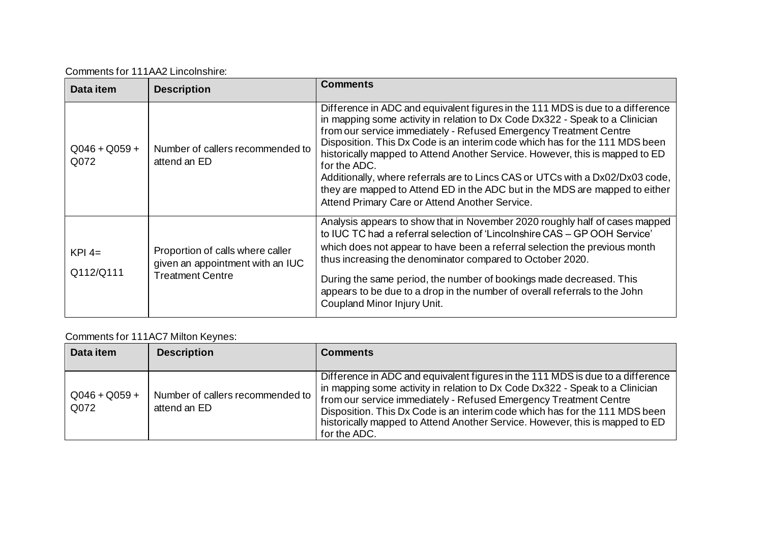Comments for 111AA2 Lincolnshire:

| Data item               | <b>Description</b>                                                                              | <b>Comments</b>                                                                                                                                                                                                                                                                                                                                                                                                                                                                                                                                                                                                                      |
|-------------------------|-------------------------------------------------------------------------------------------------|--------------------------------------------------------------------------------------------------------------------------------------------------------------------------------------------------------------------------------------------------------------------------------------------------------------------------------------------------------------------------------------------------------------------------------------------------------------------------------------------------------------------------------------------------------------------------------------------------------------------------------------|
| $Q046 + Q059 +$<br>Q072 | Number of callers recommended to<br>attend an ED                                                | Difference in ADC and equivalent figures in the 111 MDS is due to a difference<br>in mapping some activity in relation to Dx Code Dx322 - Speak to a Clinician<br>from our service immediately - Refused Emergency Treatment Centre<br>Disposition. This Dx Code is an interim code which has for the 111 MDS been<br>historically mapped to Attend Another Service. However, this is mapped to ED<br>for the ADC.<br>Additionally, where referrals are to Lincs CAS or UTCs with a Dx02/Dx03 code,<br>they are mapped to Attend ED in the ADC but in the MDS are mapped to either<br>Attend Primary Care or Attend Another Service. |
| $KPI$ 4=<br>Q112/Q111   | Proportion of calls where caller<br>given an appointment with an IUC<br><b>Treatment Centre</b> | Analysis appears to show that in November 2020 roughly half of cases mapped<br>to IUC TC had a referral selection of 'Lincolnshire CAS – GP OOH Service'<br>which does not appear to have been a referral selection the previous month<br>thus increasing the denominator compared to October 2020.<br>During the same period, the number of bookings made decreased. This<br>appears to be due to a drop in the number of overall referrals to the John<br>Coupland Minor Injury Unit.                                                                                                                                              |

# Comments for 111AC7 Milton Keynes:

| Data item               | <b>Description</b>                                 | <b>Comments</b>                                                                                                                                                                                                                                                                                                                                                                                                    |
|-------------------------|----------------------------------------------------|--------------------------------------------------------------------------------------------------------------------------------------------------------------------------------------------------------------------------------------------------------------------------------------------------------------------------------------------------------------------------------------------------------------------|
| $Q046 + Q059 +$<br>Q072 | Number of callers recommended to  <br>attend an ED | Difference in ADC and equivalent figures in the 111 MDS is due to a difference<br>in mapping some activity in relation to Dx Code Dx322 - Speak to a Clinician<br>from our service immediately - Refused Emergency Treatment Centre<br>Disposition. This Dx Code is an interim code which has for the 111 MDS been<br>historically mapped to Attend Another Service. However, this is mapped to ED<br>for the ADC. |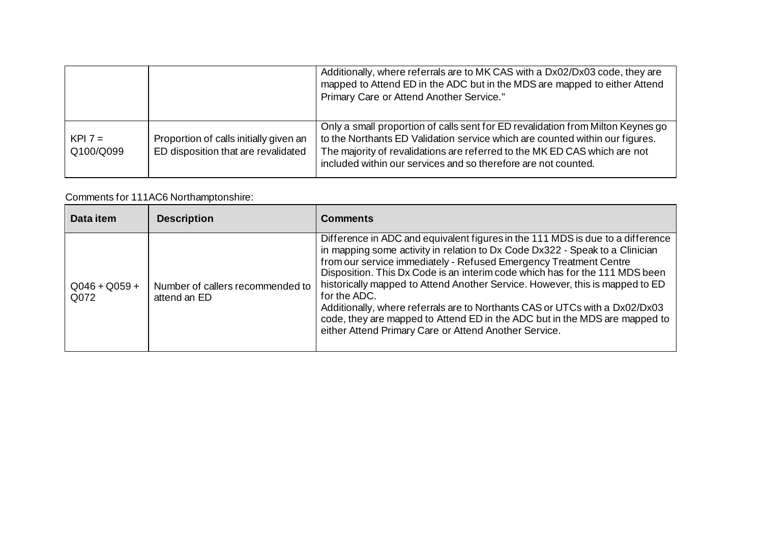|                        |                                                                               | Additionally, where referrals are to MK CAS with a Dx02/Dx03 code, they are<br>mapped to Attend ED in the ADC but in the MDS are mapped to either Attend<br>Primary Care or Attend Another Service."                                                                                                           |
|------------------------|-------------------------------------------------------------------------------|----------------------------------------------------------------------------------------------------------------------------------------------------------------------------------------------------------------------------------------------------------------------------------------------------------------|
| $KPI 7 =$<br>Q100/Q099 | Proportion of calls initially given an<br>ED disposition that are revalidated | Only a small proportion of calls sent for ED revalidation from Milton Keynes go<br>to the Northants ED Validation service which are counted within our figures.<br>The majority of revalidations are referred to the MK ED CAS which are not<br>included within our services and so therefore are not counted. |

# Comments for 111AC6 Northamptonshire:

| Data item               | <b>Description</b>                               | <b>Comments</b>                                                                                                                                                                                                                                                                                                                                                                                                                                                                                                                                                                                                                          |
|-------------------------|--------------------------------------------------|------------------------------------------------------------------------------------------------------------------------------------------------------------------------------------------------------------------------------------------------------------------------------------------------------------------------------------------------------------------------------------------------------------------------------------------------------------------------------------------------------------------------------------------------------------------------------------------------------------------------------------------|
| $Q046 + Q059 +$<br>Q072 | Number of callers recommended to<br>attend an ED | Difference in ADC and equivalent figures in the 111 MDS is due to a difference<br>in mapping some activity in relation to Dx Code Dx322 - Speak to a Clinician<br>from our service immediately - Refused Emergency Treatment Centre<br>Disposition. This Dx Code is an interim code which has for the 111 MDS been<br>historically mapped to Attend Another Service. However, this is mapped to ED<br>for the ADC.<br>Additionally, where referrals are to Northants CAS or UTCs with a Dx02/Dx03<br>code, they are mapped to Attend ED in the ADC but in the MDS are mapped to<br>either Attend Primary Care or Attend Another Service. |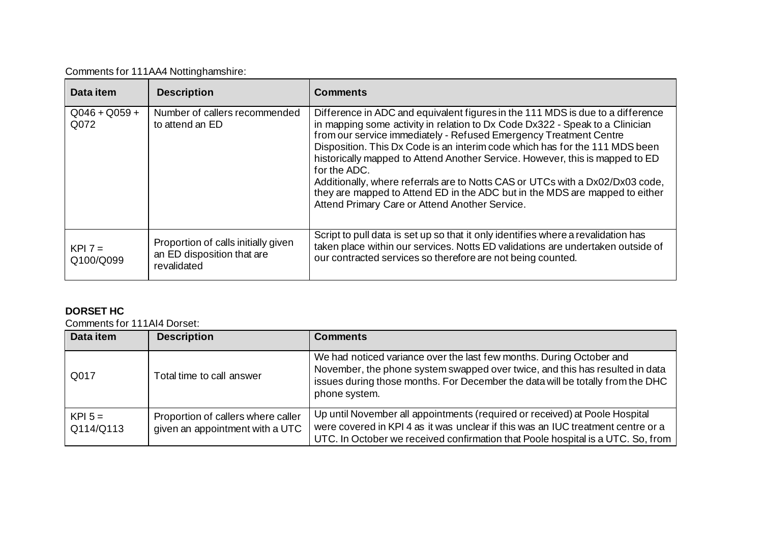|  |  | Comments for 111AA4 Nottinghamshire: |
|--|--|--------------------------------------|
|--|--|--------------------------------------|

| Data item               | <b>Description</b>                                                               | <b>Comments</b>                                                                                                                                                                                                                                                                                                                                                                                                                                                                                                                                                                                                                      |
|-------------------------|----------------------------------------------------------------------------------|--------------------------------------------------------------------------------------------------------------------------------------------------------------------------------------------------------------------------------------------------------------------------------------------------------------------------------------------------------------------------------------------------------------------------------------------------------------------------------------------------------------------------------------------------------------------------------------------------------------------------------------|
| $Q046 + Q059 +$<br>Q072 | Number of callers recommended<br>to attend an ED                                 | Difference in ADC and equivalent figures in the 111 MDS is due to a difference<br>in mapping some activity in relation to Dx Code Dx322 - Speak to a Clinician<br>from our service immediately - Refused Emergency Treatment Centre<br>Disposition. This Dx Code is an interim code which has for the 111 MDS been<br>historically mapped to Attend Another Service. However, this is mapped to ED<br>for the ADC.<br>Additionally, where referrals are to Notts CAS or UTCs with a Dx02/Dx03 code,<br>they are mapped to Attend ED in the ADC but in the MDS are mapped to either<br>Attend Primary Care or Attend Another Service. |
| $KPI 7 =$<br>Q100/Q099  | Proportion of calls initially given<br>an ED disposition that are<br>revalidated | Script to pull data is set up so that it only identifies where a revalidation has<br>taken place within our services. Notts ED validations are undertaken outside of<br>our contracted services so therefore are not being counted.                                                                                                                                                                                                                                                                                                                                                                                                  |

# **DORSET HC**

Comments for 111AI4 Dorset:

| Data item              | <b>Description</b>                                                    | <b>Comments</b>                                                                                                                                                                                                                                         |
|------------------------|-----------------------------------------------------------------------|---------------------------------------------------------------------------------------------------------------------------------------------------------------------------------------------------------------------------------------------------------|
| Q017                   | Total time to call answer                                             | We had noticed variance over the last few months. During October and<br>November, the phone system swapped over twice, and this has resulted in data<br>issues during those months. For December the data will be totally from the DHC<br>phone system. |
| $KPI$ 5 =<br>Q114/Q113 | Proportion of callers where caller<br>given an appointment with a UTC | Up until November all appointments (required or received) at Poole Hospital<br>were covered in KPI 4 as it was unclear if this was an IUC treatment centre or a<br>UTC. In October we received confirmation that Poole hospital is a UTC. So, from      |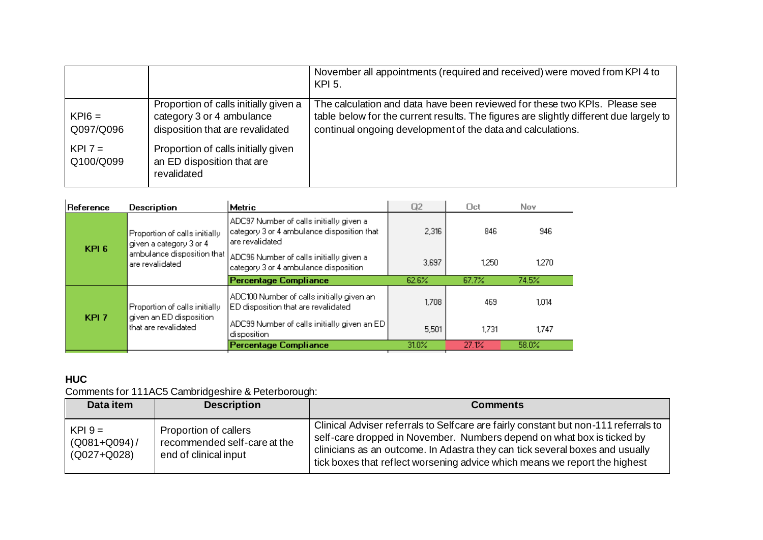|                        |                                                                                                        | November all appointments (required and received) were moved from KPI 4 to<br>KPI 5.                                                                                                                                                |
|------------------------|--------------------------------------------------------------------------------------------------------|-------------------------------------------------------------------------------------------------------------------------------------------------------------------------------------------------------------------------------------|
| $KPI6 =$<br>Q097/Q096  | Proportion of calls initially given a<br>category 3 or 4 ambulance<br>disposition that are revalidated | The calculation and data have been reviewed for these two KPIs. Please see<br>table below for the current results. The figures are slightly different due largely to<br>continual ongoing development of the data and calculations. |
| $KPI 7 =$<br>Q100/Q099 | Proportion of calls initially given<br>an ED disposition that are<br>revalidated                       |                                                                                                                                                                                                                                     |

| Reference                                                                                        | Description                                                                                                | Metric                                                                           | Q2       | Oct   | Nov.  |
|--------------------------------------------------------------------------------------------------|------------------------------------------------------------------------------------------------------------|----------------------------------------------------------------------------------|----------|-------|-------|
| Proportion of calls initially.<br>given a category 3 or 4<br>KPI <sub>6</sub><br>are revalidated | ADC97 Number of calls initially given a<br>category 3 or 4 ambulance disposition that<br>lare revalidated. | 2,316                                                                            | 846      | 946   |       |
|                                                                                                  | ambulance disposition that                                                                                 | ADC96 Number of calls initially given a<br>category 3 or 4 ambulance disposition | 3.697    | 1.250 | 1.270 |
|                                                                                                  |                                                                                                            | <b>Percentage Compliance</b>                                                     | 62.6%    | 67.7% | 74.5% |
| KPI <sub>7</sub>                                                                                 | Proportion of calls initially<br>given an ED disposition<br>that are revalidated                           | ADC100 Number of calls initially given an<br>ED disposition that are revalidated | 1.708    | 469   | 1.014 |
|                                                                                                  |                                                                                                            | ADC99 Number of calls initially given an ED  <br>disposition                     | 5,501    | 1.731 | 1.747 |
|                                                                                                  |                                                                                                            | <b>Percentage Compliance</b>                                                     | $31.0\%$ | 27.1% | 58.0% |

# **HUC**

Comments for 111AC5 Cambridgeshire & Peterborough:

| Data item                                       | <b>Description</b>                                                             | <b>Comments</b>                                                                                                                                                                                                                                                                                                             |
|-------------------------------------------------|--------------------------------------------------------------------------------|-----------------------------------------------------------------------------------------------------------------------------------------------------------------------------------------------------------------------------------------------------------------------------------------------------------------------------|
| $KPI 9 =$<br>$(Q081 + Q094)$<br>$(Q027 + Q028)$ | Proportion of callers<br>recommended self-care at the<br>end of clinical input | Clinical Adviser referrals to Selfcare are fairly constant but non-111 referrals to<br>self-care dropped in November. Numbers depend on what box is ticked by<br>clinicians as an outcome. In Adastra they can tick several boxes and usually<br>tick boxes that reflect worsening advice which means we report the highest |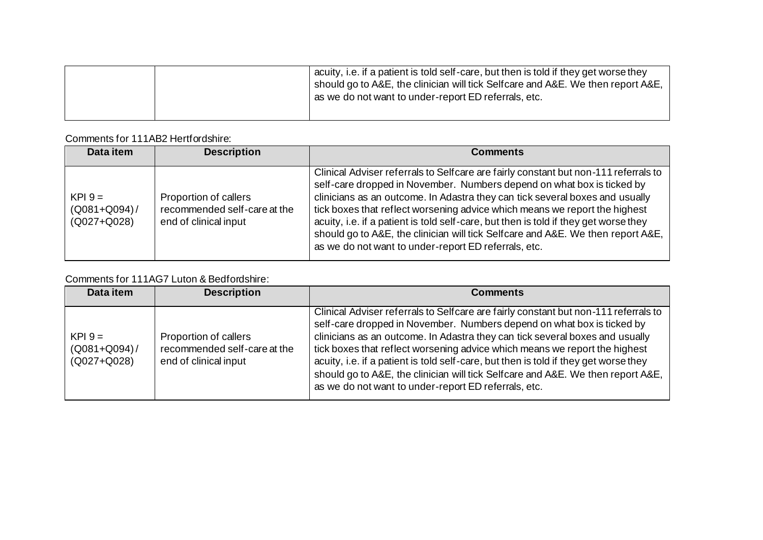|  | acuity, i.e. if a patient is told self-care, but then is told if they get worse they<br>should go to A&E, the clinician will tick Selfcare and A&E. We then report A&E,<br>as we do not want to under-report ED referrals, etc. |
|--|---------------------------------------------------------------------------------------------------------------------------------------------------------------------------------------------------------------------------------|
|  |                                                                                                                                                                                                                                 |

## Comments for 111AB2 Hertfordshire:

| Data item                                       | <b>Description</b>                                                             | <b>Comments</b>                                                                                                                                                                                                                                                                                                                                                                                                                                                                                                                                                |
|-------------------------------------------------|--------------------------------------------------------------------------------|----------------------------------------------------------------------------------------------------------------------------------------------------------------------------------------------------------------------------------------------------------------------------------------------------------------------------------------------------------------------------------------------------------------------------------------------------------------------------------------------------------------------------------------------------------------|
| $KPI 9 =$<br>$(Q081 + Q094)$ /<br>$(Q027+Q028)$ | Proportion of callers<br>recommended self-care at the<br>end of clinical input | Clinical Adviser referrals to Selfcare are fairly constant but non-111 referrals to<br>self-care dropped in November. Numbers depend on what box is ticked by<br>clinicians as an outcome. In Adastra they can tick several boxes and usually<br>tick boxes that reflect worsening advice which means we report the highest<br>acuity, i.e. if a patient is told self-care, but then is told if they get worse they<br>should go to A&E, the clinician will tick Selfcare and A&E. We then report A&E,<br>as we do not want to under-report ED referrals, etc. |

# Comments for 111AG7 Luton & Bedfordshire:

| Data item                                     | <b>Description</b>                                                             | <b>Comments</b>                                                                                                                                                                                                                                                                                                                                                                                                                                                                                                                                                |
|-----------------------------------------------|--------------------------------------------------------------------------------|----------------------------------------------------------------------------------------------------------------------------------------------------------------------------------------------------------------------------------------------------------------------------------------------------------------------------------------------------------------------------------------------------------------------------------------------------------------------------------------------------------------------------------------------------------------|
| $KPI.9 =$<br>$(Q081 + Q094)$ /<br>(Q027+Q028) | Proportion of callers<br>recommended self-care at the<br>end of clinical input | Clinical Adviser referrals to Selfcare are fairly constant but non-111 referrals to<br>self-care dropped in November. Numbers depend on what box is ticked by<br>clinicians as an outcome. In Adastra they can tick several boxes and usually<br>tick boxes that reflect worsening advice which means we report the highest<br>acuity, i.e. if a patient is told self-care, but then is told if they get worse they<br>should go to A&E, the clinician will tick Selfcare and A&E. We then report A&E,<br>as we do not want to under-report ED referrals, etc. |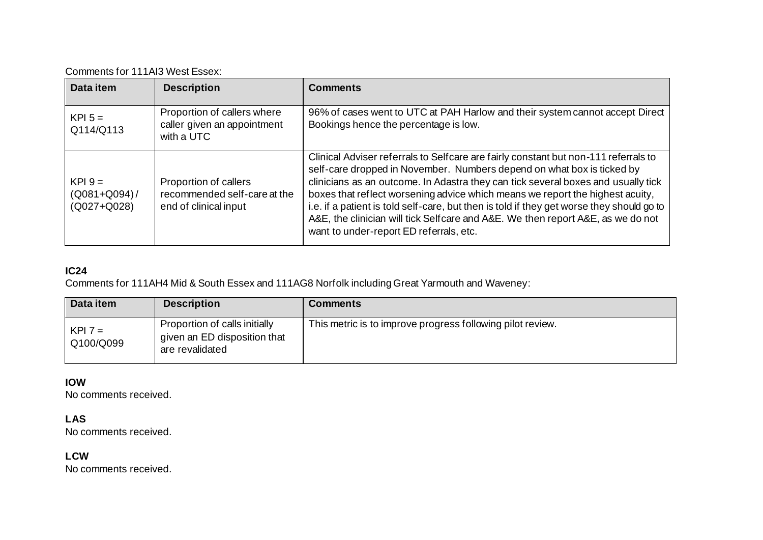| Comments for 111AI3 West Essex: |  |
|---------------------------------|--|
|---------------------------------|--|

| Data item                                       | <b>Description</b>                                                             | <b>Comments</b>                                                                                                                                                                                                                                                                                                                                                                                                                                                                                                                                                |
|-------------------------------------------------|--------------------------------------------------------------------------------|----------------------------------------------------------------------------------------------------------------------------------------------------------------------------------------------------------------------------------------------------------------------------------------------------------------------------------------------------------------------------------------------------------------------------------------------------------------------------------------------------------------------------------------------------------------|
| $KPI$ 5 =<br>Q114/Q113                          | Proportion of callers where<br>caller given an appointment<br>with a UTC       | 96% of cases went to UTC at PAH Harlow and their system cannot accept Direct<br>Bookings hence the percentage is low.                                                                                                                                                                                                                                                                                                                                                                                                                                          |
| $KPI 9 =$<br>$(Q081 + Q094)$ /<br>$(Q027+Q028)$ | Proportion of callers<br>recommended self-care at the<br>end of clinical input | Clinical Adviser referrals to Selfcare are fairly constant but non-111 referrals to<br>self-care dropped in November. Numbers depend on what box is ticked by<br>clinicians as an outcome. In Adastra they can tick several boxes and usually tick<br>boxes that reflect worsening advice which means we report the highest acuity,<br>i.e. if a patient is told self-care, but then is told if they get worse they should go to<br>A&E, the clinician will tick Selfcare and A&E. We then report A&E, as we do not<br>want to under-report ED referrals, etc. |

# **IC24**

Comments for 111AH4 Mid & South Essex and 111AG8 Norfolk including Great Yarmouth and Waveney:

| Data item              | <b>Description</b>                                                               | <b>Comments</b>                                            |
|------------------------|----------------------------------------------------------------------------------|------------------------------------------------------------|
| $KPI 7 =$<br>Q100/Q099 | Proportion of calls initially<br>given an ED disposition that<br>are revalidated | This metric is to improve progress following pilot review. |

## **IOW**

No comments received.

## **LAS**

No comments received.

## **LCW**

No comments received.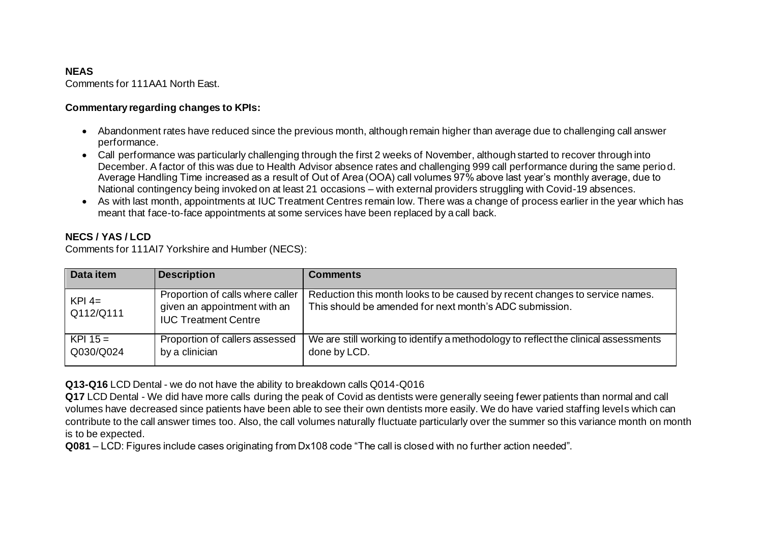## **NEAS**

Comments for 111AA1 North East.

#### **Commentary regarding changes to KPIs:**

- Abandonment rates have reduced since the previous month, although remain higher than average due to challenging call answer performance.
- Call performance was particularly challenging through the first 2 weeks of November, although started to recover through into December. A factor of this was due to Health Advisor absence rates and challenging 999 call performance during the same period. Average Handling Time increased as a result of Out of Area (OOA) call volumes 97% above last year's monthly average, due to National contingency being invoked on at least 21 occasions – with external providers struggling with Covid-19 absences.
- As with last month, appointments at IUC Treatment Centres remain low. There was a change of process earlier in the year which has meant that face-to-face appointments at some services have been replaced by a call back.

## **NECS / YAS / LCD**

Comments for 111AI7 Yorkshire and Humber (NECS):

| Data item               | <b>Description</b>                                                                              | <b>Comments</b>                                                                                                                        |
|-------------------------|-------------------------------------------------------------------------------------------------|----------------------------------------------------------------------------------------------------------------------------------------|
| $KPI$ 4=<br>Q112/Q111   | Proportion of calls where caller<br>given an appointment with an<br><b>IUC Treatment Centre</b> | Reduction this month looks to be caused by recent changes to service names.<br>This should be amended for next month's ADC submission. |
| $KPI 15 =$<br>Q030/Q024 | Proportion of callers assessed<br>by a clinician                                                | We are still working to identify a methodology to reflect the clinical assessments<br>done by LCD.                                     |

**Q13-Q16** LCD Dental - we do not have the ability to breakdown calls Q014-Q016

**Q17** LCD Dental - We did have more calls during the peak of Covid as dentists were generally seeing fewer patients than normal and call volumes have decreased since patients have been able to see their own dentists more easily. We do have varied staffing levels which can contribute to the call answer times too. Also, the call volumes naturally fluctuate particularly over the summer so this variance month on month is to be expected.

**Q081** – LCD: Figures include cases originating from Dx108 code "The call is closed with no further action needed".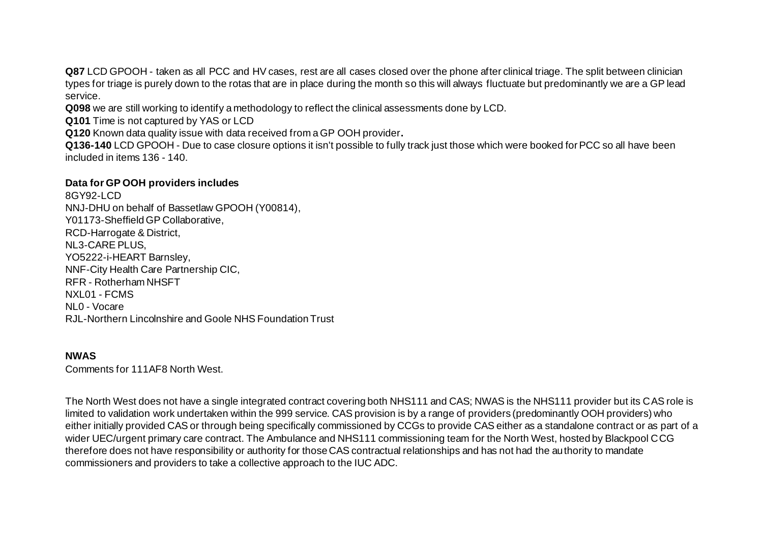Q87 LCD GPOOH - taken as all PCC and HV cases, rest are all cases closed over the phone after clinical triage. The split between clinician types for triage is purely down to the rotas that are in place during the month so this will always fluctuate but predominantly we are a GP lead service.

**Q098** we are still working to identify a methodology to reflect the clinical assessments done by LCD.

**Q101** Time is not captured by YAS or LCD

**Q120** Known data quality issue with data received from a GP OOH provider**.** 

**Q136-140** LCD GPOOH - Due to case closure options it isn't possible to fully track just those which were booked for PCC so all have been included in items 136 - 140.

#### **Data for GP OOH providers includes**

8GY92-LCD NNJ-DHU on behalf of Bassetlaw GPOOH (Y00814), Y01173-Sheffield GP Collaborative, RCD-Harrogate & District, NL3-CARE PLUS, YO5222-i-HEART Barnsley, NNF-City Health Care Partnership CIC, RFR - Rotherham NHSFT NXL01 - FCMS NL0 - Vocare RJL-Northern Lincolnshire and Goole NHS Foundation Trust

#### **NWAS**

Comments for 111AF8 North West.

The North West does not have a single integrated contract covering both NHS111 and CAS; NWAS is the NHS111 provider but its CAS role is limited to validation work undertaken within the 999 service. CAS provision is by a range of providers (predominantly OOH providers) who either initially provided CAS or through being specifically commissioned by CCGs to provide CAS either as a standalone contract or as part of a wider UEC/urgent primary care contract. The Ambulance and NHS111 commissioning team for the North West, hosted by Blackpool CCG therefore does not have responsibility or authority for those CAS contractual relationships and has not had the authority to mandate commissioners and providers to take a collective approach to the IUC ADC.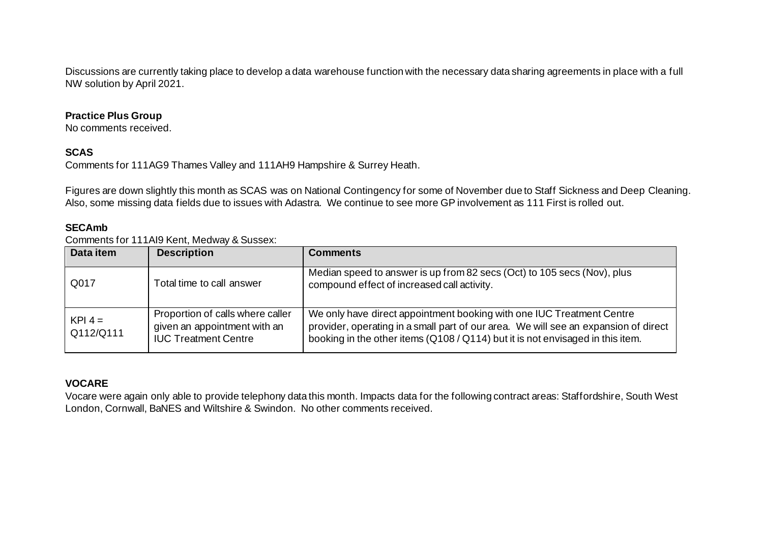Discussions are currently taking place to develop a data warehouse function with the necessary data sharing agreements in place with a full NW solution by April 2021.

#### **Practice Plus Group**

No comments received.

## **SCAS**

Comments for 111AG9 Thames Valley and 111AH9 Hampshire & Surrey Heath.

Figures are down slightly this month as SCAS was on National Contingency for some of November due to Staff Sickness and Deep Cleaning. Also, some missing data fields due to issues with Adastra. We continue to see more GP involvement as 111 First is rolled out.

## **SECAmb**

Comments for 111AI9 Kent, Medway & Sussex:

| Data item              | <b>Description</b>                                                                              | <b>Comments</b>                                                                                                                                                                                                                                |
|------------------------|-------------------------------------------------------------------------------------------------|------------------------------------------------------------------------------------------------------------------------------------------------------------------------------------------------------------------------------------------------|
| Q017                   | Total time to call answer                                                                       | Median speed to answer is up from 82 secs (Oct) to 105 secs (Nov), plus<br>compound effect of increased call activity.                                                                                                                         |
| $KPI 4 =$<br>Q112/Q111 | Proportion of calls where caller<br>given an appointment with an<br><b>IUC Treatment Centre</b> | We only have direct appointment booking with one IUC Treatment Centre<br>provider, operating in a small part of our area. We will see an expansion of direct<br>booking in the other items (Q108 / Q114) but it is not envisaged in this item. |

## **VOCARE**

Vocare were again only able to provide telephony data this month. Impacts data for the following contract areas: Staffordshire, South West London, Cornwall, BaNES and Wiltshire & Swindon. No other comments received.